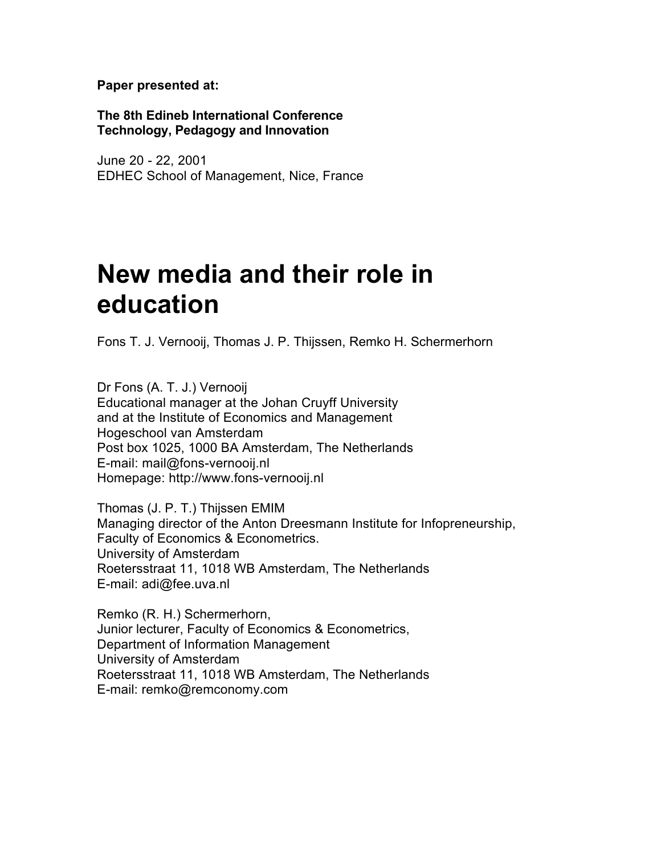**Paper presented at:**

**The 8th Edineb International Conference Technology, Pedagogy and Innovation**

June 20 - 22, 2001 EDHEC School of Management, Nice, France

# **New media and their role in education**

Fons T. J. Vernooij, Thomas J. P. Thijssen, Remko H. Schermerhorn

Dr Fons (A. T. J.) Vernooij Educational manager at the Johan Cruyff University and at the Institute of Economics and Management Hogeschool van Amsterdam Post box 1025, 1000 BA Amsterdam, The Netherlands E-mail: mail@fons-vernooij.nl Homepage: http://www.fons-vernooij.nl

Thomas (J. P. T.) Thijssen EMIM Managing director of the Anton Dreesmann Institute for Infopreneurship, Faculty of Economics & Econometrics. University of Amsterdam Roetersstraat 11, 1018 WB Amsterdam, The Netherlands E-mail: adi@fee.uva.nl

Remko (R. H.) Schermerhorn, Junior lecturer, Faculty of Economics & Econometrics, Department of Information Management University of Amsterdam Roetersstraat 11, 1018 WB Amsterdam, The Netherlands E-mail: remko@remconomy.com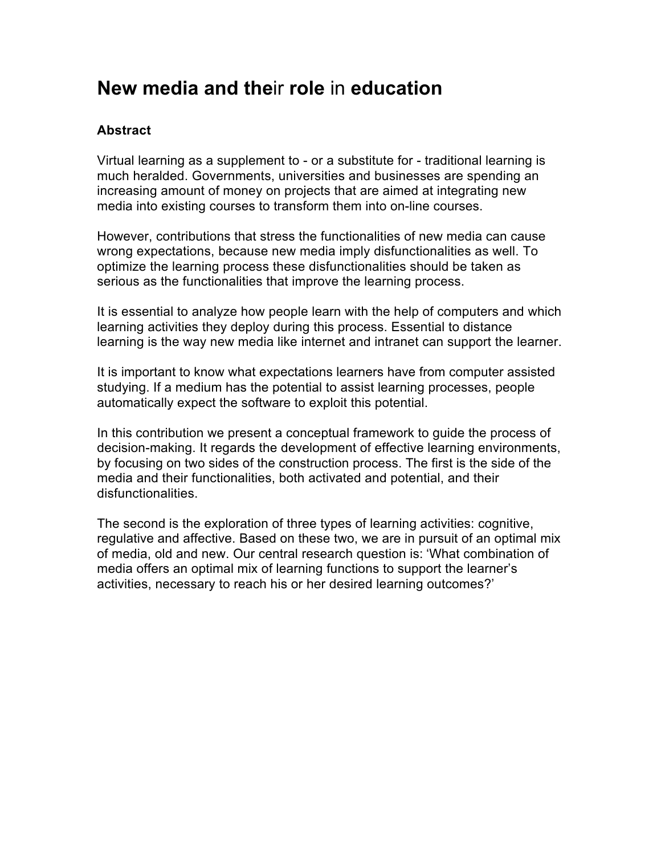## **New media and the**ir **role** in **education**

#### **Abstract**

Virtual learning as a supplement to - or a substitute for - traditional learning is much heralded. Governments, universities and businesses are spending an increasing amount of money on projects that are aimed at integrating new media into existing courses to transform them into on-line courses.

However, contributions that stress the functionalities of new media can cause wrong expectations, because new media imply disfunctionalities as well. To optimize the learning process these disfunctionalities should be taken as serious as the functionalities that improve the learning process.

It is essential to analyze how people learn with the help of computers and which learning activities they deploy during this process. Essential to distance learning is the way new media like internet and intranet can support the learner.

It is important to know what expectations learners have from computer assisted studying. If a medium has the potential to assist learning processes, people automatically expect the software to exploit this potential.

In this contribution we present a conceptual framework to guide the process of decision-making. It regards the development of effective learning environments, by focusing on two sides of the construction process. The first is the side of the media and their functionalities, both activated and potential, and their disfunctionalities.

The second is the exploration of three types of learning activities: cognitive, regulative and affective. Based on these two, we are in pursuit of an optimal mix of media, old and new. Our central research question is: 'What combination of media offers an optimal mix of learning functions to support the learner's activities, necessary to reach his or her desired learning outcomes?'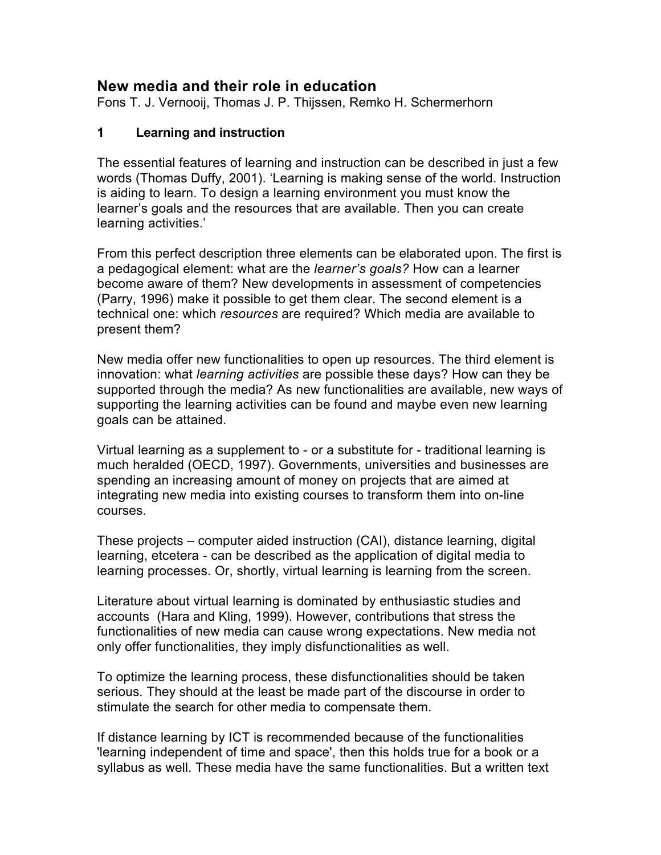### **New media and their role in education**

Fons T. J. Vernooij, Thomas J. P. Thijssen, Remko H. Schermerhorn

#### **1 Learning and instruction**

The essential features of learning and instruction can be described in just a few words (Thomas Duffy, 2001). 'Learning is making sense of the world. Instruction is aiding to learn. To design a learning environment you must know the learner's goals and the resources that are available. Then you can create learning activities.'

From this perfect description three elements can be elaborated upon. The first is a pedagogical element: what are the *learner's goals?* How can a learner become aware of them? New developments in assessment of competencies (Parry, 1996) make it possible to get them clear. The second element is a technical one: which *resources* are required? Which media are available to present them?

New media offer new functionalities to open up resources. The third element is innovation: what *learning activities* are possible these days? How can they be supported through the media? As new functionalities are available, new ways of supporting the learning activities can be found and maybe even new learning goals can be attained.

Virtual learning as a supplement to - or a substitute for - traditional learning is much heralded (OECD, 1997). Governments, universities and businesses are spending an increasing amount of money on projects that are aimed at integrating new media into existing courses to transform them into on-line courses.

These projects – computer aided instruction (CAI), distance learning, digital learning, etcetera - can be described as the application of digital media to learning processes. Or, shortly, virtual learning is learning from the screen.

Literature about virtual learning is dominated by enthusiastic studies and accounts (Hara and Kling, 1999). However, contributions that stress the functionalities of new media can cause wrong expectations. New media not only offer functionalities, they imply disfunctionalities as well.

To optimize the learning process, these disfunctionalities should be taken serious. They should at the least be made part of the discourse in order to stimulate the search for other media to compensate them.

If distance learning by ICT is recommended because of the functionalities 'learning independent of time and space', then this holds true for a book or a syllabus as well. These media have the same functionalities. But a written text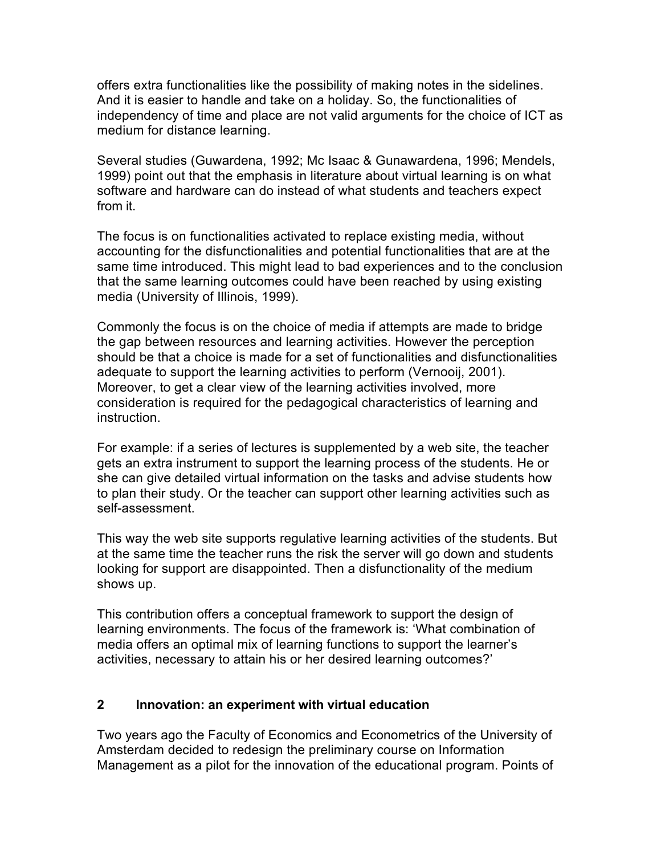offers extra functionalities like the possibility of making notes in the sidelines. And it is easier to handle and take on a holiday. So, the functionalities of independency of time and place are not valid arguments for the choice of ICT as medium for distance learning.

Several studies (Guwardena, 1992; Mc Isaac & Gunawardena, 1996; Mendels, 1999) point out that the emphasis in literature about virtual learning is on what software and hardware can do instead of what students and teachers expect from it.

The focus is on functionalities activated to replace existing media, without accounting for the disfunctionalities and potential functionalities that are at the same time introduced. This might lead to bad experiences and to the conclusion that the same learning outcomes could have been reached by using existing media (University of Illinois, 1999).

Commonly the focus is on the choice of media if attempts are made to bridge the gap between resources and learning activities. However the perception should be that a choice is made for a set of functionalities and disfunctionalities adequate to support the learning activities to perform (Vernooij, 2001). Moreover, to get a clear view of the learning activities involved, more consideration is required for the pedagogical characteristics of learning and instruction.

For example: if a series of lectures is supplemented by a web site, the teacher gets an extra instrument to support the learning process of the students. He or she can give detailed virtual information on the tasks and advise students how to plan their study. Or the teacher can support other learning activities such as self-assessment.

This way the web site supports regulative learning activities of the students. But at the same time the teacher runs the risk the server will go down and students looking for support are disappointed. Then a disfunctionality of the medium shows up.

This contribution offers a conceptual framework to support the design of learning environments. The focus of the framework is: 'What combination of media offers an optimal mix of learning functions to support the learner's activities, necessary to attain his or her desired learning outcomes?'

#### **2 Innovation: an experiment with virtual education**

Two years ago the Faculty of Economics and Econometrics of the University of Amsterdam decided to redesign the preliminary course on Information Management as a pilot for the innovation of the educational program. Points of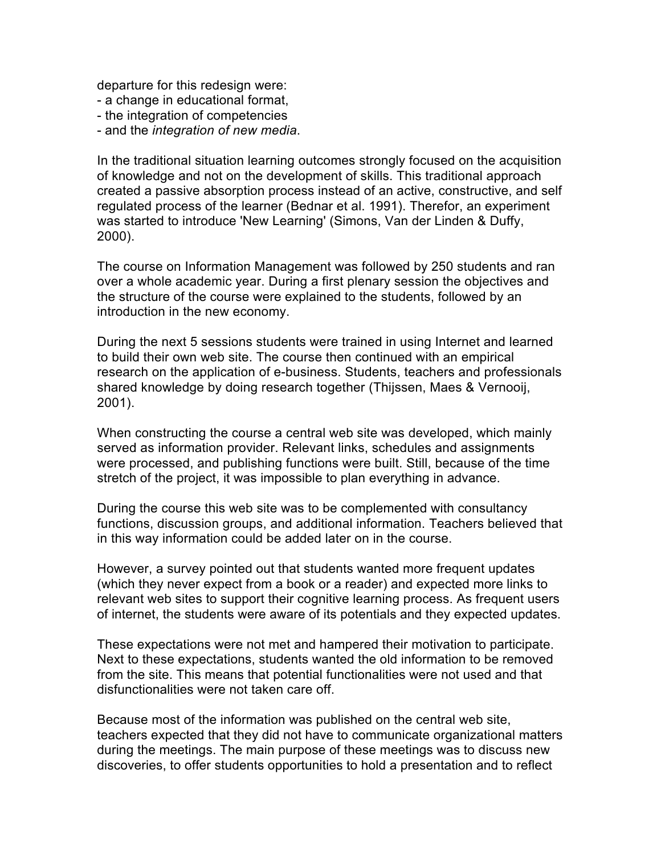departure for this redesign were:

- a change in educational format,
- the integration of competencies
- and the *integration of new media*.

In the traditional situation learning outcomes strongly focused on the acquisition of knowledge and not on the development of skills. This traditional approach created a passive absorption process instead of an active, constructive, and self regulated process of the learner (Bednar et al. 1991). Therefor, an experiment was started to introduce 'New Learning' (Simons, Van der Linden & Duffy, 2000).

The course on Information Management was followed by 250 students and ran over a whole academic year. During a first plenary session the objectives and the structure of the course were explained to the students, followed by an introduction in the new economy.

During the next 5 sessions students were trained in using Internet and learned to build their own web site. The course then continued with an empirical research on the application of e-business. Students, teachers and professionals shared knowledge by doing research together (Thijssen, Maes & Vernooij, 2001).

When constructing the course a central web site was developed, which mainly served as information provider. Relevant links, schedules and assignments were processed, and publishing functions were built. Still, because of the time stretch of the project, it was impossible to plan everything in advance.

During the course this web site was to be complemented with consultancy functions, discussion groups, and additional information. Teachers believed that in this way information could be added later on in the course.

However, a survey pointed out that students wanted more frequent updates (which they never expect from a book or a reader) and expected more links to relevant web sites to support their cognitive learning process. As frequent users of internet, the students were aware of its potentials and they expected updates.

These expectations were not met and hampered their motivation to participate. Next to these expectations, students wanted the old information to be removed from the site. This means that potential functionalities were not used and that disfunctionalities were not taken care off.

Because most of the information was published on the central web site, teachers expected that they did not have to communicate organizational matters during the meetings. The main purpose of these meetings was to discuss new discoveries, to offer students opportunities to hold a presentation and to reflect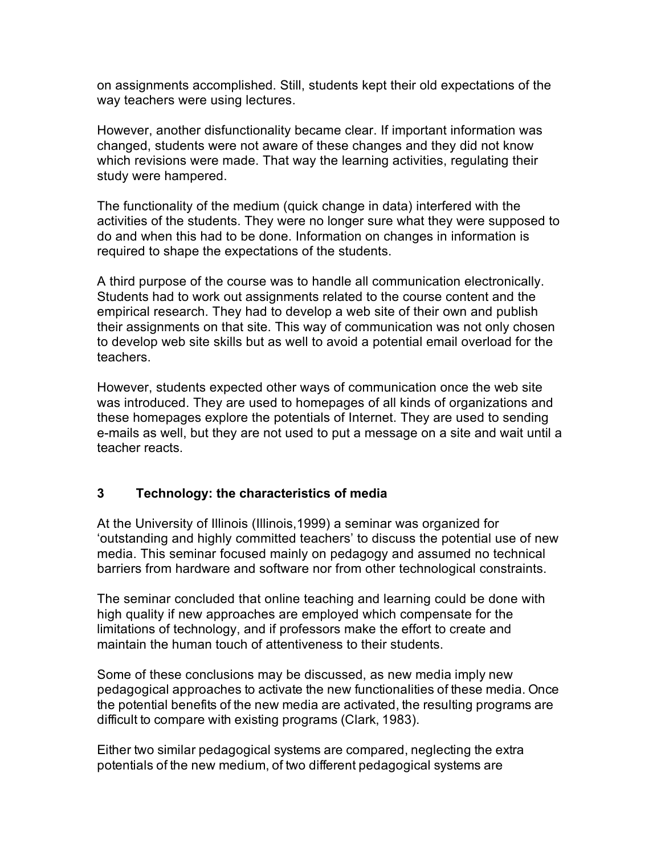on assignments accomplished. Still, students kept their old expectations of the way teachers were using lectures.

However, another disfunctionality became clear. If important information was changed, students were not aware of these changes and they did not know which revisions were made. That way the learning activities, regulating their study were hampered.

The functionality of the medium (quick change in data) interfered with the activities of the students. They were no longer sure what they were supposed to do and when this had to be done. Information on changes in information is required to shape the expectations of the students.

A third purpose of the course was to handle all communication electronically. Students had to work out assignments related to the course content and the empirical research. They had to develop a web site of their own and publish their assignments on that site. This way of communication was not only chosen to develop web site skills but as well to avoid a potential email overload for the teachers.

However, students expected other ways of communication once the web site was introduced. They are used to homepages of all kinds of organizations and these homepages explore the potentials of Internet. They are used to sending e-mails as well, but they are not used to put a message on a site and wait until a teacher reacts.

#### **3 Technology: the characteristics of media**

At the University of Illinois (Illinois,1999) a seminar was organized for 'outstanding and highly committed teachers' to discuss the potential use of new media. This seminar focused mainly on pedagogy and assumed no technical barriers from hardware and software nor from other technological constraints.

The seminar concluded that online teaching and learning could be done with high quality if new approaches are employed which compensate for the limitations of technology, and if professors make the effort to create and maintain the human touch of attentiveness to their students.

Some of these conclusions may be discussed, as new media imply new pedagogical approaches to activate the new functionalities of these media. Once the potential benefits of the new media are activated, the resulting programs are difficult to compare with existing programs (Clark, 1983).

Either two similar pedagogical systems are compared, neglecting the extra potentials of the new medium, of two different pedagogical systems are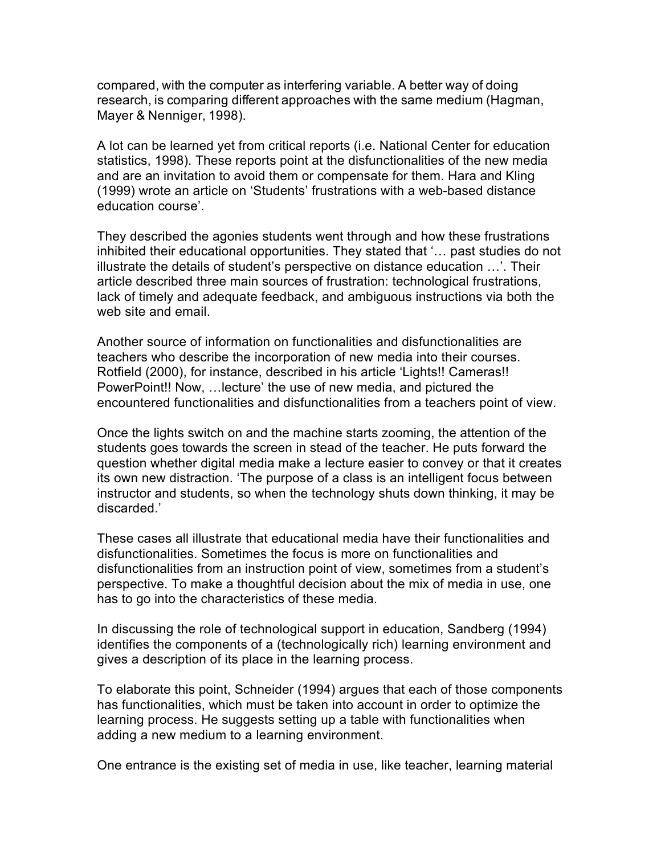compared, with the computer as interfering variable. A better way of doing research, is comparing different approaches with the same medium (Hagman, Mayer & Nenniger, 1998).

A lot can be learned yet from critical reports (i.e. National Center for education statistics, 1998). These reports point at the disfunctionalities of the new media and are an invitation to avoid them or compensate for them. Hara and Kling (1999) wrote an article on 'Students' frustrations with a web-based distance education course'.

They described the agonies students went through and how these frustrations inhibited their educational opportunities. They stated that '… past studies do not illustrate the details of student's perspective on distance education …'. Their article described three main sources of frustration: technological frustrations, lack of timely and adequate feedback, and ambiguous instructions via both the web site and email.

Another source of information on functionalities and disfunctionalities are teachers who describe the incorporation of new media into their courses. Rotfield (2000), for instance, described in his article 'Lights!! Cameras!! PowerPoint!! Now, …lecture' the use of new media, and pictured the encountered functionalities and disfunctionalities from a teachers point of view.

Once the lights switch on and the machine starts zooming, the attention of the students goes towards the screen in stead of the teacher. He puts forward the question whether digital media make a lecture easier to convey or that it creates its own new distraction. 'The purpose of a class is an intelligent focus between instructor and students, so when the technology shuts down thinking, it may be discarded.'

These cases all illustrate that educational media have their functionalities and disfunctionalities. Sometimes the focus is more on functionalities and disfunctionalities from an instruction point of view, sometimes from a student's perspective. To make a thoughtful decision about the mix of media in use, one has to go into the characteristics of these media.

In discussing the role of technological support in education, Sandberg (1994) identifies the components of a (technologically rich) learning environment and gives a description of its place in the learning process.

To elaborate this point, Schneider (1994) argues that each of those components has functionalities, which must be taken into account in order to optimize the learning process. He suggests setting up a table with functionalities when adding a new medium to a learning environment.

One entrance is the existing set of media in use, like teacher, learning material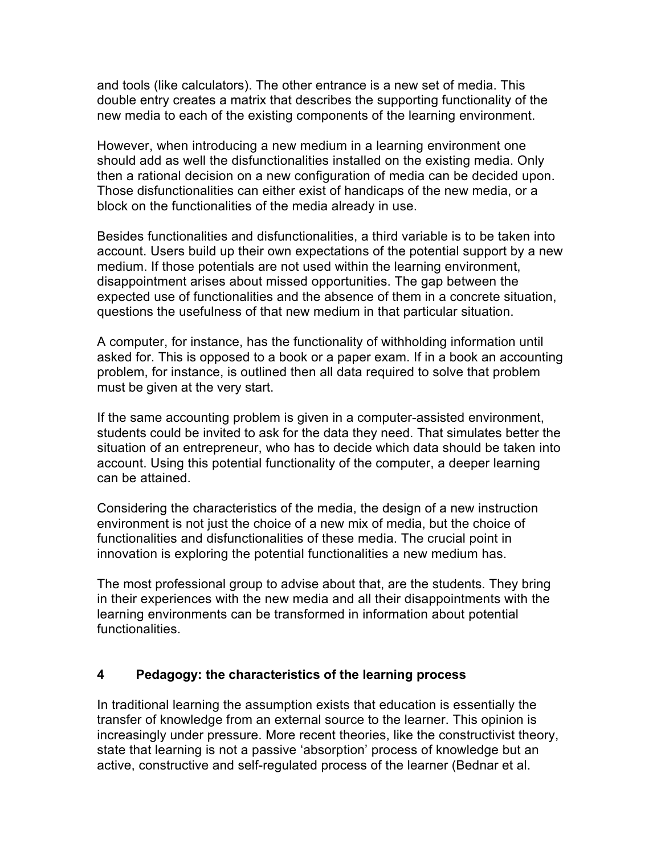and tools (like calculators). The other entrance is a new set of media. This double entry creates a matrix that describes the supporting functionality of the new media to each of the existing components of the learning environment.

However, when introducing a new medium in a learning environment one should add as well the disfunctionalities installed on the existing media. Only then a rational decision on a new configuration of media can be decided upon. Those disfunctionalities can either exist of handicaps of the new media, or a block on the functionalities of the media already in use.

Besides functionalities and disfunctionalities, a third variable is to be taken into account. Users build up their own expectations of the potential support by a new medium. If those potentials are not used within the learning environment, disappointment arises about missed opportunities. The gap between the expected use of functionalities and the absence of them in a concrete situation, questions the usefulness of that new medium in that particular situation.

A computer, for instance, has the functionality of withholding information until asked for. This is opposed to a book or a paper exam. If in a book an accounting problem, for instance, is outlined then all data required to solve that problem must be given at the very start.

If the same accounting problem is given in a computer-assisted environment, students could be invited to ask for the data they need. That simulates better the situation of an entrepreneur, who has to decide which data should be taken into account. Using this potential functionality of the computer, a deeper learning can be attained.

Considering the characteristics of the media, the design of a new instruction environment is not just the choice of a new mix of media, but the choice of functionalities and disfunctionalities of these media. The crucial point in innovation is exploring the potential functionalities a new medium has.

The most professional group to advise about that, are the students. They bring in their experiences with the new media and all their disappointments with the learning environments can be transformed in information about potential functionalities.

#### **4 Pedagogy: the characteristics of the learning process**

In traditional learning the assumption exists that education is essentially the transfer of knowledge from an external source to the learner. This opinion is increasingly under pressure. More recent theories, like the constructivist theory, state that learning is not a passive 'absorption' process of knowledge but an active, constructive and self-regulated process of the learner (Bednar et al.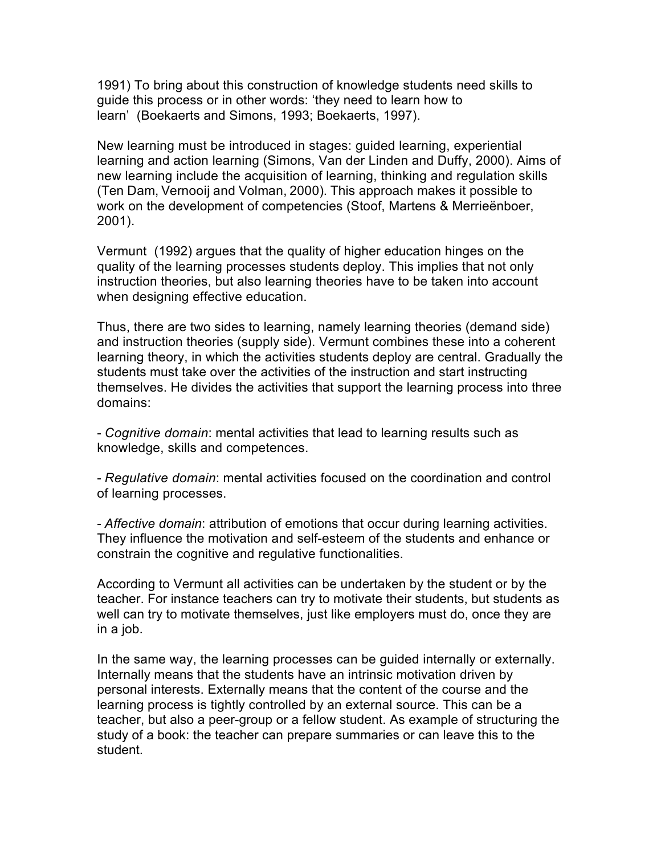1991) To bring about this construction of knowledge students need skills to guide this process or in other words: 'they need to learn how to learn' (Boekaerts and Simons, 1993; Boekaerts, 1997).

New learning must be introduced in stages: guided learning, experiential learning and action learning (Simons, Van der Linden and Duffy, 2000). Aims of new learning include the acquisition of learning, thinking and regulation skills (Ten Dam, Vernooij and Volman, 2000). This approach makes it possible to work on the development of competencies (Stoof, Martens & Merrieënboer, 2001).

Vermunt (1992) argues that the quality of higher education hinges on the quality of the learning processes students deploy. This implies that not only instruction theories, but also learning theories have to be taken into account when designing effective education.

Thus, there are two sides to learning, namely learning theories (demand side) and instruction theories (supply side). Vermunt combines these into a coherent learning theory, in which the activities students deploy are central. Gradually the students must take over the activities of the instruction and start instructing themselves. He divides the activities that support the learning process into three domains:

- *Cognitive domain*: mental activities that lead to learning results such as knowledge, skills and competences.

- *Regulative domain*: mental activities focused on the coordination and control of learning processes.

- *Affective domain*: attribution of emotions that occur during learning activities. They influence the motivation and self-esteem of the students and enhance or constrain the cognitive and regulative functionalities.

According to Vermunt all activities can be undertaken by the student or by the teacher. For instance teachers can try to motivate their students, but students as well can try to motivate themselves, just like employers must do, once they are in a job.

In the same way, the learning processes can be guided internally or externally. Internally means that the students have an intrinsic motivation driven by personal interests. Externally means that the content of the course and the learning process is tightly controlled by an external source. This can be a teacher, but also a peer-group or a fellow student. As example of structuring the study of a book: the teacher can prepare summaries or can leave this to the student.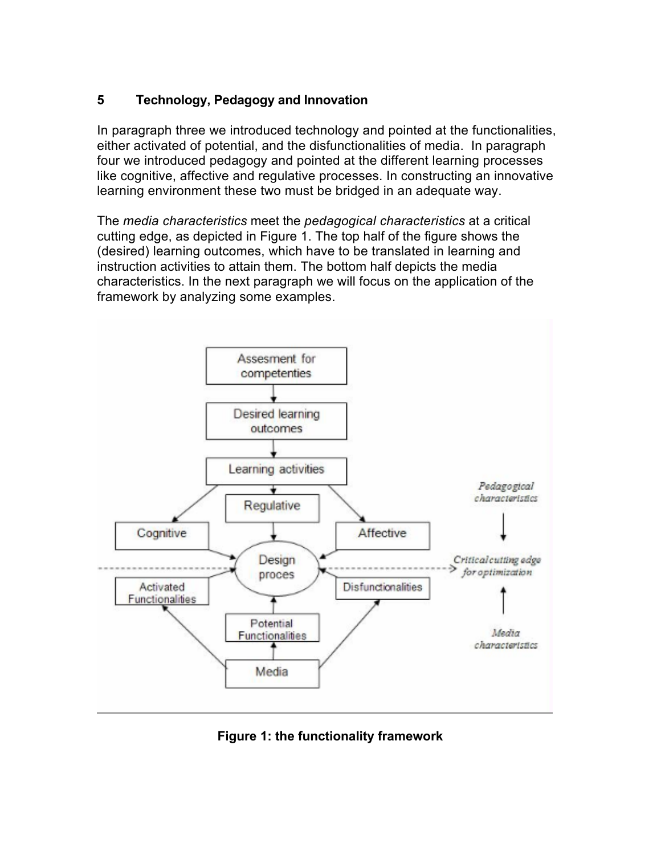#### **5 Technology, Pedagogy and Innovation**

In paragraph three we introduced technology and pointed at the functionalities, either activated of potential, and the disfunctionalities of media. In paragraph four we introduced pedagogy and pointed at the different learning processes like cognitive, affective and regulative processes. In constructing an innovative learning environment these two must be bridged in an adequate way.

The *media characteristics* meet the *pedagogical characteristics* at a critical cutting edge, as depicted in Figure 1. The top half of the figure shows the (desired) learning outcomes, which have to be translated in learning and instruction activities to attain them. The bottom half depicts the media characteristics. In the next paragraph we will focus on the application of the framework by analyzing some examples.



**Figure 1: the functionality framework**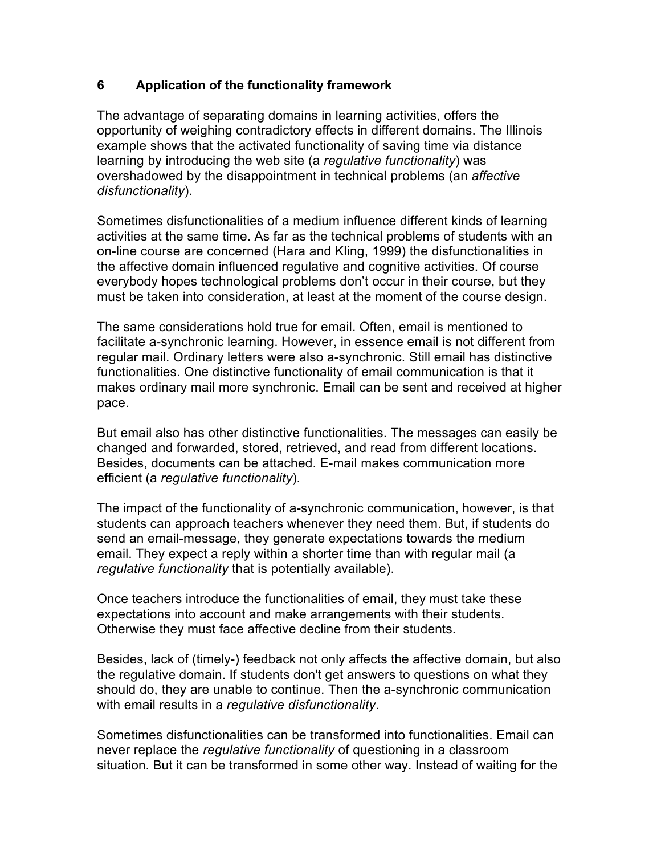#### **6 Application of the functionality framework**

The advantage of separating domains in learning activities, offers the opportunity of weighing contradictory effects in different domains. The Illinois example shows that the activated functionality of saving time via distance learning by introducing the web site (a *regulative functionality*) was overshadowed by the disappointment in technical problems (an *affective disfunctionality*).

Sometimes disfunctionalities of a medium influence different kinds of learning activities at the same time. As far as the technical problems of students with an on-line course are concerned (Hara and Kling, 1999) the disfunctionalities in the affective domain influenced regulative and cognitive activities. Of course everybody hopes technological problems don't occur in their course, but they must be taken into consideration, at least at the moment of the course design.

The same considerations hold true for email. Often, email is mentioned to facilitate a-synchronic learning. However, in essence email is not different from regular mail. Ordinary letters were also a-synchronic. Still email has distinctive functionalities. One distinctive functionality of email communication is that it makes ordinary mail more synchronic. Email can be sent and received at higher pace.

But email also has other distinctive functionalities. The messages can easily be changed and forwarded, stored, retrieved, and read from different locations. Besides, documents can be attached. E-mail makes communication more efficient (a *regulative functionality*).

The impact of the functionality of a-synchronic communication, however, is that students can approach teachers whenever they need them. But, if students do send an email-message, they generate expectations towards the medium email. They expect a reply within a shorter time than with regular mail (a *regulative functionality* that is potentially available).

Once teachers introduce the functionalities of email, they must take these expectations into account and make arrangements with their students. Otherwise they must face affective decline from their students.

Besides, lack of (timely-) feedback not only affects the affective domain, but also the regulative domain. If students don't get answers to questions on what they should do, they are unable to continue. Then the a-synchronic communication with email results in a *regulative disfunctionality*.

Sometimes disfunctionalities can be transformed into functionalities. Email can never replace the *regulative functionality* of questioning in a classroom situation. But it can be transformed in some other way. Instead of waiting for the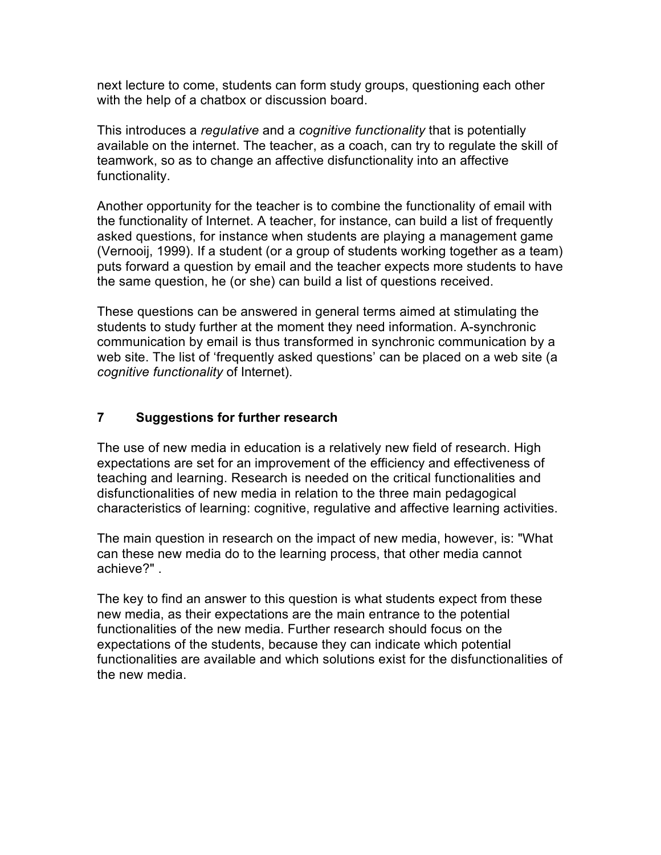next lecture to come, students can form study groups, questioning each other with the help of a chatbox or discussion board.

This introduces a *regulative* and a *cognitive functionality* that is potentially available on the internet. The teacher, as a coach, can try to regulate the skill of teamwork, so as to change an affective disfunctionality into an affective functionality.

Another opportunity for the teacher is to combine the functionality of email with the functionality of Internet. A teacher, for instance, can build a list of frequently asked questions, for instance when students are playing a management game (Vernooij, 1999). If a student (or a group of students working together as a team) puts forward a question by email and the teacher expects more students to have the same question, he (or she) can build a list of questions received.

These questions can be answered in general terms aimed at stimulating the students to study further at the moment they need information. A-synchronic communication by email is thus transformed in synchronic communication by a web site. The list of 'frequently asked questions' can be placed on a web site (a *cognitive functionality* of Internet).

#### **7 Suggestions for further research**

The use of new media in education is a relatively new field of research. High expectations are set for an improvement of the efficiency and effectiveness of teaching and learning. Research is needed on the critical functionalities and disfunctionalities of new media in relation to the three main pedagogical characteristics of learning: cognitive, regulative and affective learning activities.

The main question in research on the impact of new media, however, is: "What can these new media do to the learning process, that other media cannot achieve?" .

The key to find an answer to this question is what students expect from these new media, as their expectations are the main entrance to the potential functionalities of the new media. Further research should focus on the expectations of the students, because they can indicate which potential functionalities are available and which solutions exist for the disfunctionalities of the new media.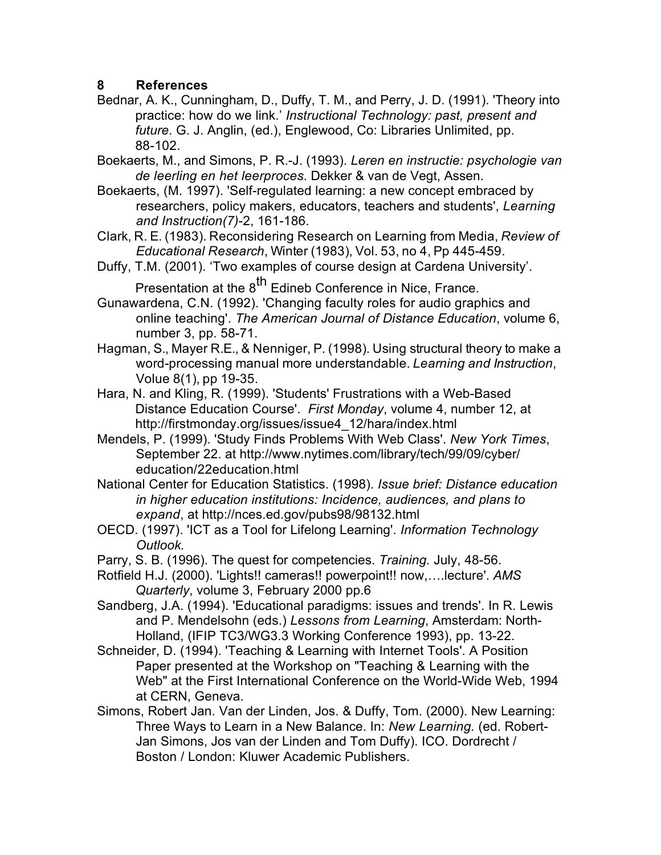#### **8 References**

- Bednar, A. K., Cunningham, D., Duffy, T. M., and Perry, J. D. (1991). 'Theory into practice: how do we link.' *Instructional Technology: past, present and future*. G. J. Anglin, (ed.), Englewood, Co: Libraries Unlimited, pp. 88-102.
- Boekaerts, M., and Simons, P. R.-J. (1993). *Leren en instructie: psychologie van de leerling en het leerproces*. Dekker & van de Vegt, Assen.
- Boekaerts, (M. 1997). 'Self-regulated learning: a new concept embraced by researchers, policy makers, educators, teachers and students', *Learning and Instruction(7)*-2, 161-186.
- Clark, R. E. (1983). Reconsidering Research on Learning from Media, *Review of Educational Research*, Winter (1983), Vol. 53, no 4, Pp 445-459.
- Duffy, T.M. (2001). 'Two examples of course design at Cardena University'. Presentation at the 8<sup>th</sup> Edineb Conference in Nice, France.
- Gunawardena, C.N. (1992). 'Changing faculty roles for audio graphics and online teaching'. *The American Journal of Distance Education*, volume 6, number 3, pp. 58-71.
- Hagman, S., Mayer R.E., & Nenniger, P. (1998). Using structural theory to make a word-processing manual more understandable. *Learning and Instruction*, Volue 8(1), pp 19-35.
- Hara, N. and Kling, R. (1999). 'Students' Frustrations with a Web-Based Distance Education Course'. *First Monday*, volume 4, number 12, at http://firstmonday.org/issues/issue4\_12/hara/index.html
- Mendels, P. (1999). 'Study Finds Problems With Web Class'. *New York Times*, September 22. at http://www.nytimes.com/library/tech/99/09/cyber/ education/22education.html
- National Center for Education Statistics. (1998). *Issue brief: Distance education in higher education institutions: Incidence, audiences, and plans to expand*, at http://nces.ed.gov/pubs98/98132.html
- OECD. (1997). 'ICT as a Tool for Lifelong Learning'. *Information Technology Outlook.*
- Parry, S. B. (1996). The quest for competencies. *Training.* July, 48-56.
- Rotfield H.J. (2000). 'Lights!! cameras!! powerpoint!! now,….lecture'. *AMS Quarterly*, volume 3, February 2000 pp.6
- Sandberg, J.A. (1994). 'Educational paradigms: issues and trends'. In R. Lewis and P. Mendelsohn (eds.) *Lessons from Learning*, Amsterdam: North-Holland, (IFIP TC3/WG3.3 Working Conference 1993), pp. 13-22.
- Schneider, D. (1994). 'Teaching & Learning with Internet Tools'. A Position Paper presented at the Workshop on "Teaching & Learning with the Web" at the First International Conference on the World-Wide Web, 1994 at CERN, Geneva.
- Simons, Robert Jan. Van der Linden, Jos. & Duffy, Tom. (2000). New Learning: Three Ways to Learn in a New Balance. In: *New Learning.* (ed. Robert-Jan Simons, Jos van der Linden and Tom Duffy). ICO. Dordrecht / Boston / London: Kluwer Academic Publishers.